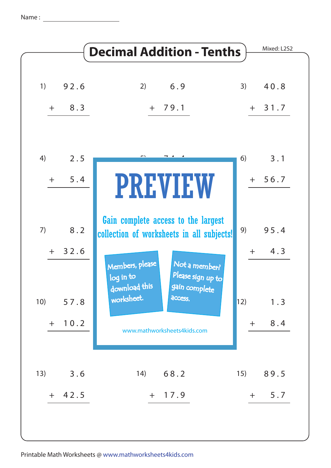